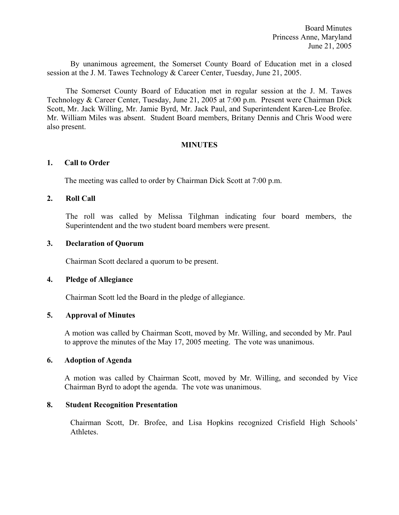By unanimous agreement, the Somerset County Board of Education met in a closed session at the J. M. Tawes Technology & Career Center, Tuesday, June 21, 2005.

The Somerset County Board of Education met in regular session at the J. M. Tawes Technology & Career Center, Tuesday, June 21, 2005 at 7:00 p.m. Present were Chairman Dick Scott, Mr. Jack Willing, Mr. Jamie Byrd, Mr. Jack Paul, and Superintendent Karen-Lee Brofee. Mr. William Miles was absent. Student Board members, Britany Dennis and Chris Wood were also present.

#### **MINUTES**

#### **1. Call to Order**

The meeting was called to order by Chairman Dick Scott at 7:00 p.m.

### **2. Roll Call**

The roll was called by Melissa Tilghman indicating four board members, the Superintendent and the two student board members were present.

#### **3. Declaration of Quorum**

Chairman Scott declared a quorum to be present.

#### **4. Pledge of Allegiance**

Chairman Scott led the Board in the pledge of allegiance.

### **5. Approval of Minutes**

 A motion was called by Chairman Scott, moved by Mr. Willing, and seconded by Mr. Paul to approve the minutes of the May 17, 2005 meeting. The vote was unanimous.

#### **6. Adoption of Agenda**

A motion was called by Chairman Scott, moved by Mr. Willing, and seconded by Vice Chairman Byrd to adopt the agenda. The vote was unanimous.

### **8. Student Recognition Presentation**

Chairman Scott, Dr. Brofee, and Lisa Hopkins recognized Crisfield High Schools' Athletes.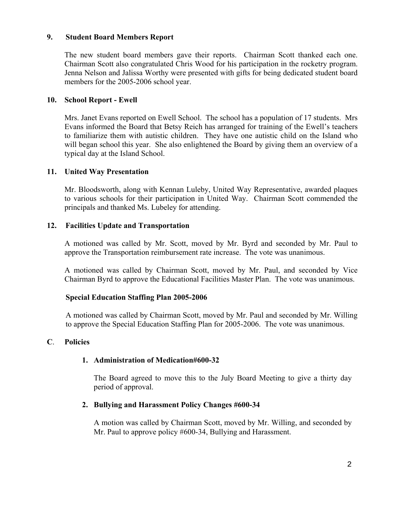### **9. Student Board Members Report**

The new student board members gave their reports. Chairman Scott thanked each one. Chairman Scott also congratulated Chris Wood for his participation in the rocketry program. Jenna Nelson and Jalissa Worthy were presented with gifts for being dedicated student board members for the 2005-2006 school year.

### **10. School Report - Ewell**

Mrs. Janet Evans reported on Ewell School. The school has a population of 17 students. Mrs Evans informed the Board that Betsy Reich has arranged for training of the Ewell's teachers to familiarize them with autistic children. They have one autistic child on the Island who will began school this year. She also enlightened the Board by giving them an overview of a typical day at the Island School.

### **11. United Way Presentation**

Mr. Bloodsworth, along with Kennan Luleby, United Way Representative, awarded plaques to various schools for their participation in United Way. Chairman Scott commended the principals and thanked Ms. Lubeley for attending.

### **12. Facilities Update and Transportation**

A motioned was called by Mr. Scott, moved by Mr. Byrd and seconded by Mr. Paul to approve the Transportation reimbursement rate increase. The vote was unanimous.

A motioned was called by Chairman Scott, moved by Mr. Paul, and seconded by Vice Chairman Byrd to approve the Educational Facilities Master Plan. The vote was unanimous.

## **Special Education Staffing Plan 2005-2006**

 A motioned was called by Chairman Scott, moved by Mr. Paul and seconded by Mr. Willing to approve the Special Education Staffing Plan for 2005-2006. The vote was unanimous.

### **C**. **Policies**

## **1. Administration of Medication#600-32**

The Board agreed to move this to the July Board Meeting to give a thirty day period of approval.

### **2. Bullying and Harassment Policy Changes #600-34**

A motion was called by Chairman Scott, moved by Mr. Willing, and seconded by Mr. Paul to approve policy #600-34, Bullying and Harassment.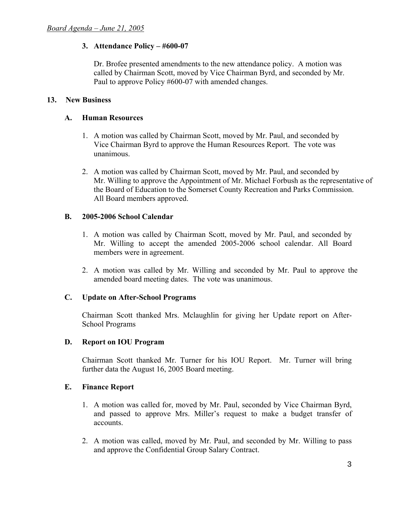## **3. Attendance Policy – #600-07**

Dr. Brofee presented amendments to the new attendance policy. A motion was called by Chairman Scott, moved by Vice Chairman Byrd, and seconded by Mr. Paul to approve Policy #600-07 with amended changes.

### **13. New Business**

### **A. Human Resources**

- 1. A motion was called by Chairman Scott, moved by Mr. Paul, and seconded by Vice Chairman Byrd to approve the Human Resources Report. The vote was unanimous.
- 2. A motion was called by Chairman Scott, moved by Mr. Paul, and seconded by Mr. Willing to approve the Appointment of Mr. Michael Forbush as the representative of the Board of Education to the Somerset County Recreation and Parks Commission. All Board members approved.

### **B. 2005-2006 School Calendar**

- 1. A motion was called by Chairman Scott, moved by Mr. Paul, and seconded by Mr. Willing to accept the amended 2005-2006 school calendar. All Board members were in agreement.
- 2. A motion was called by Mr. Willing and seconded by Mr. Paul to approve the amended board meeting dates. The vote was unanimous.

## **C. Update on After-School Programs**

Chairman Scott thanked Mrs. Mclaughlin for giving her Update report on After-School Programs

### **D. Report on IOU Program**

 Chairman Scott thanked Mr. Turner for his IOU Report. Mr. Turner will bring further data the August 16, 2005 Board meeting.

### **E. Finance Report**

- 1. A motion was called for, moved by Mr. Paul, seconded by Vice Chairman Byrd, and passed to approve Mrs. Miller's request to make a budget transfer of accounts.
- 2. A motion was called, moved by Mr. Paul, and seconded by Mr. Willing to pass and approve the Confidential Group Salary Contract.